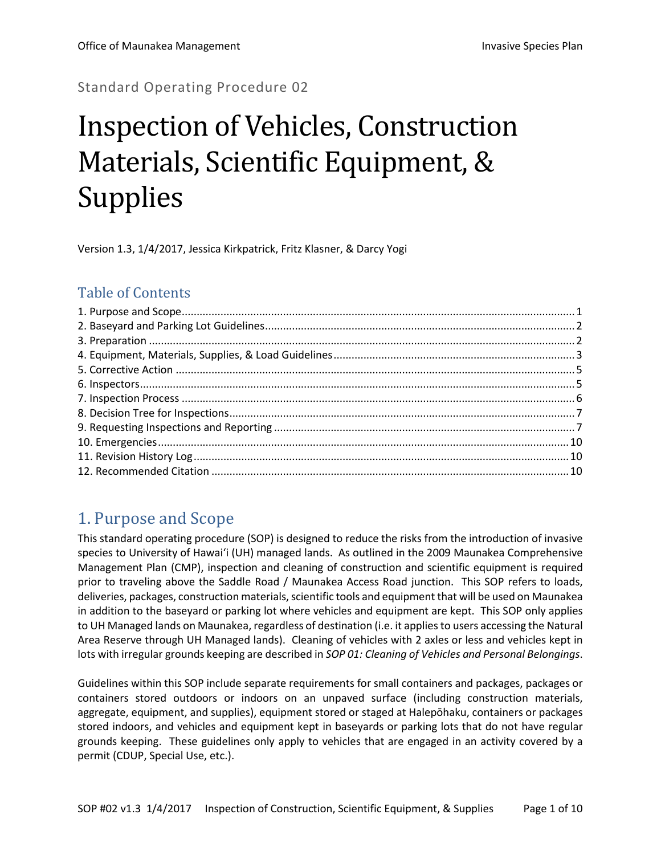### Standard Operating Procedure 02

# Inspection of Vehicles, Construction Materials, Scientific Equipment, & **Supplies**

Version 1.3, 1/4/2017, Jessica Kirkpatrick, Fritz Klasner, & Darcy Yogi

### Table of Contents

### <span id="page-0-0"></span>1. Purpose and Scope

This standard operating procedure (SOP) is designed to reduce the risks from the introduction of invasive species to University of Hawai'i (UH) managed lands. As outlined in the 2009 Maunakea Comprehensive Management Plan (CMP), inspection and cleaning of construction and scientific equipment is required prior to traveling above the Saddle Road / Maunakea Access Road junction. This SOP refers to loads, deliveries, packages, construction materials, scientific tools and equipment that will be used on Maunakea in addition to the baseyard or parking lot where vehicles and equipment are kept. This SOP only applies to UH Managed lands on Maunakea, regardless of destination (i.e. it applies to users accessing the Natural Area Reserve through UH Managed lands). Cleaning of vehicles with 2 axles or less and vehicles kept in lots with irregular grounds keeping are described in *SOP 01: Cleaning of Vehicles and Personal Belongings*.

Guidelines within this SOP include separate requirements for small containers and packages, packages or containers stored outdoors or indoors on an unpaved surface (including construction materials, aggregate, equipment, and supplies), equipment stored or staged at Halepōhaku, containers or packages stored indoors, and vehicles and equipment kept in baseyards or parking lots that do not have regular grounds keeping. These guidelines only apply to vehicles that are engaged in an activity covered by a permit (CDUP, Special Use, etc.).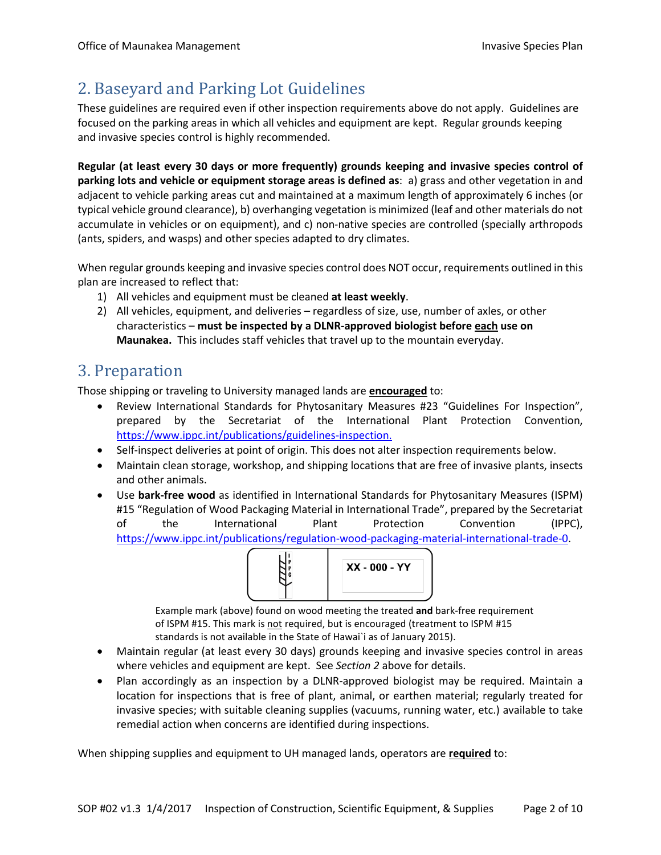# <span id="page-1-0"></span>2. Baseyard and Parking Lot Guidelines

These guidelines are required even if other inspection requirements above do not apply. Guidelines are focused on the parking areas in which all vehicles and equipment are kept. Regular grounds keeping and invasive species control is highly recommended.

**Regular (at least every 30 days or more frequently) grounds keeping and invasive species control of parking lots and vehicle or equipment storage areas is defined as**: a) grass and other vegetation in and adjacent to vehicle parking areas cut and maintained at a maximum length of approximately 6 inches (or typical vehicle ground clearance), b) overhanging vegetation is minimized (leaf and other materials do not accumulate in vehicles or on equipment), and c) non-native species are controlled (specially arthropods (ants, spiders, and wasps) and other species adapted to dry climates.

When regular grounds keeping and invasive species control does NOT occur, requirements outlined in this plan are increased to reflect that:

- 1) All vehicles and equipment must be cleaned **at least weekly**.
- 2) All vehicles, equipment, and deliveries regardless of size, use, number of axles, or other characteristics – **must be inspected by a DLNR-approved biologist before each use on Maunakea.** This includes staff vehicles that travel up to the mountain everyday.

### <span id="page-1-1"></span>3. Preparation

Those shipping or traveling to University managed lands are **encouraged** to:

- Review International Standards for Phytosanitary Measures #23 "Guidelines For Inspection", prepared by the Secretariat of the International Plant Protection Convention, [https://www.ippc.int/publications/guidelines-inspection.](https://www.ippc.int/publications/guidelines-inspection)
- Self-inspect deliveries at point of origin. This does not alter inspection requirements below.
- Maintain clean storage, workshop, and shipping locations that are free of invasive plants, insects and other animals.
- Use **bark-free wood** as identified in International Standards for Phytosanitary Measures (ISPM) #15 "Regulation of Wood Packaging Material in International Trade", prepared by the Secretariat of the International Plant Protection Convention (IPPC), [https://www.ippc.int/publications/regulation-wood-packaging-material-international-trade-0.](https://www.ippc.int/publications/regulation-wood-packaging-material-international-trade-0)



Example mark (above) found on wood meeting the treated **and** bark-free requirement of ISPM #15. This mark is not required, but is encouraged (treatment to ISPM #15 standards is not available in the State of Hawai`i as of January 2015).

- Maintain regular (at least every 30 days) grounds keeping and invasive species control in areas where vehicles and equipment are kept. See *Section 2* above for details.
- Plan accordingly as an inspection by a DLNR-approved biologist may be required. Maintain a location for inspections that is free of plant, animal, or earthen material; regularly treated for invasive species; with suitable cleaning supplies (vacuums, running water, etc.) available to take remedial action when concerns are identified during inspections.

When shipping supplies and equipment to UH managed lands, operators are **required** to: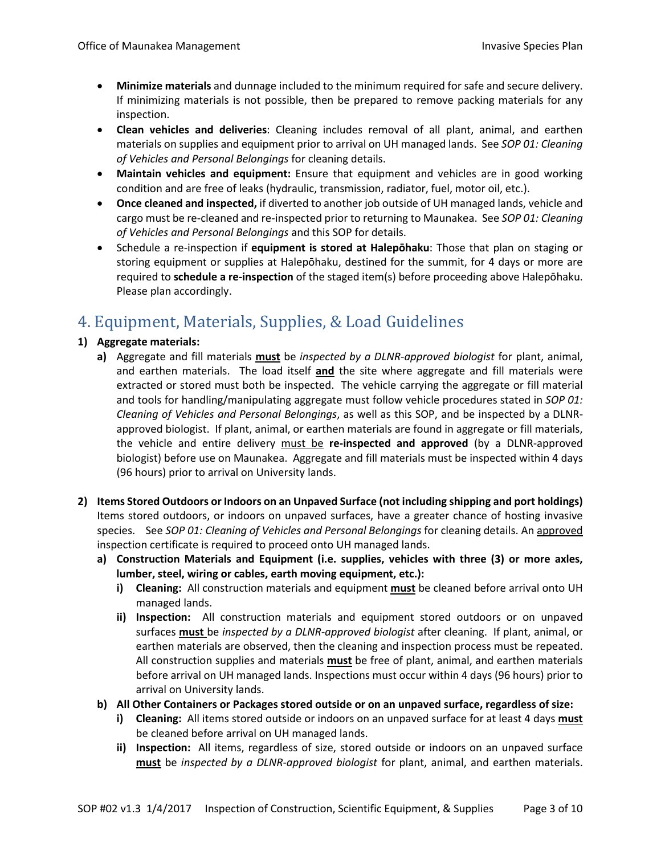- **Minimize materials** and dunnage included to the minimum required for safe and secure delivery. If minimizing materials is not possible, then be prepared to remove packing materials for any inspection.
- **Clean vehicles and deliveries**: Cleaning includes removal of all plant, animal, and earthen materials on supplies and equipment prior to arrival on UH managed lands. See *SOP 01: Cleaning of Vehicles and Personal Belongings* for cleaning details.
- **Maintain vehicles and equipment:** Ensure that equipment and vehicles are in good working condition and are free of leaks (hydraulic, transmission, radiator, fuel, motor oil, etc.).
- **Once cleaned and inspected,** if diverted to another job outside of UH managed lands, vehicle and cargo must be re-cleaned and re-inspected prior to returning to Maunakea. See *SOP 01: Cleaning of Vehicles and Personal Belongings* and this SOP for details.
- Schedule a re-inspection if **equipment is stored at Halepōhaku**: Those that plan on staging or storing equipment or supplies at Halepōhaku, destined for the summit, for 4 days or more are required to **schedule a re-inspection** of the staged item(s) before proceeding above Halepōhaku. Please plan accordingly.

## <span id="page-2-0"></span>4. Equipment, Materials, Supplies, & Load Guidelines

#### **1) Aggregate materials:**

- **a)** Aggregate and fill materials **must** be *inspected by a DLNR-approved biologist* for plant, animal, and earthen materials. The load itself **and** the site where aggregate and fill materials were extracted or stored must both be inspected. The vehicle carrying the aggregate or fill material and tools for handling/manipulating aggregate must follow vehicle procedures stated in *SOP 01: Cleaning of Vehicles and Personal Belongings*, as well as this SOP, and be inspected by a DLNRapproved biologist. If plant, animal, or earthen materials are found in aggregate or fill materials, the vehicle and entire delivery must be **re-inspected and approved** (by a DLNR-approved biologist) before use on Maunakea. Aggregate and fill materials must be inspected within 4 days (96 hours) prior to arrival on University lands.
- **2) Items Stored Outdoors or Indoors on an Unpaved Surface (not including shipping and port holdings)** Items stored outdoors, or indoors on unpaved surfaces, have a greater chance of hosting invasive species. See *SOP 01: Cleaning of Vehicles and Personal Belongings* for cleaning details. An approved inspection certificate is required to proceed onto UH managed lands.
	- **a) Construction Materials and Equipment (i.e. supplies, vehicles with three (3) or more axles, lumber, steel, wiring or cables, earth moving equipment, etc.):**
		- **i) Cleaning:** All construction materials and equipment **must** be cleaned before arrival onto UH managed lands.
		- **ii) Inspection:** All construction materials and equipment stored outdoors or on unpaved surfaces **must** be *inspected by a DLNR-approved biologist* after cleaning. If plant, animal, or earthen materials are observed, then the cleaning and inspection process must be repeated. All construction supplies and materials **must** be free of plant, animal, and earthen materials before arrival on UH managed lands. Inspections must occur within 4 days (96 hours) prior to arrival on University lands.
	- **b) All Other Containers or Packages stored outside or on an unpaved surface, regardless of size:**
		- **i) Cleaning:** All items stored outside or indoors on an unpaved surface for at least 4 days **must** be cleaned before arrival on UH managed lands.
		- **ii) Inspection:** All items, regardless of size, stored outside or indoors on an unpaved surface **must** be *inspected by a DLNR-approved biologist* for plant, animal, and earthen materials.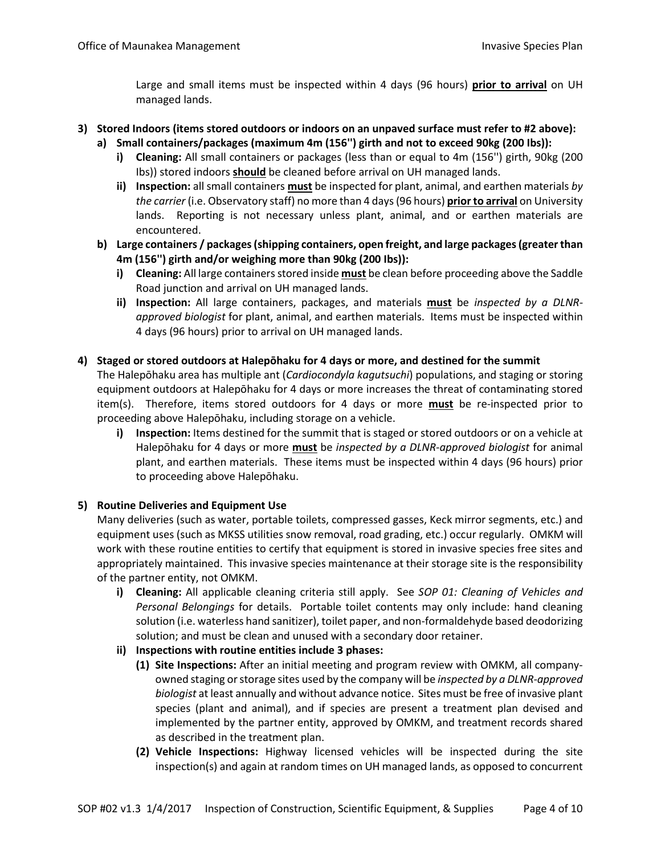Large and small items must be inspected within 4 days (96 hours) **prior to arrival** on UH managed lands.

#### **3) Stored Indoors (items stored outdoors or indoors on an unpaved surface must refer to #2 above): a) Small containers/packages (maximum 4m (156'') girth and not to exceed 90kg (200 Ibs)):**

- **i) Cleaning:** All small containers or packages (less than or equal to 4m (156'') girth, 90kg (200 Ibs)) stored indoors **should** be cleaned before arrival on UH managed lands.
- **ii) Inspection:** all small containers **must** be inspected for plant, animal, and earthen materials *by the carrier* (i.e. Observatory staff) no more than 4 days (96 hours) **prior to arrival** on University lands. Reporting is not necessary unless plant, animal, and or earthen materials are encountered.
- **b) Large containers / packages (shipping containers, open freight, and large packages (greater than 4m (156'') girth and/or weighing more than 90kg (200 Ibs)):**
	- **i) Cleaning:** All large containers stored inside **must** be clean before proceeding above the Saddle Road junction and arrival on UH managed lands.
	- **ii) Inspection:** All large containers, packages, and materials **must** be *inspected by a DLNRapproved biologist* for plant, animal, and earthen materials. Items must be inspected within 4 days (96 hours) prior to arrival on UH managed lands.

#### **4) Staged or stored outdoors at Halepōhaku for 4 days or more, and destined for the summit**

The Halepōhaku area has multiple ant (*Cardiocondyla kagutsuchi*) populations, and staging or storing equipment outdoors at Halepōhaku for 4 days or more increases the threat of contaminating stored item(s). Therefore, items stored outdoors for 4 days or more **must** be re-inspected prior to proceeding above Halepōhaku, including storage on a vehicle.

**i)** Inspection: Items destined for the summit that is staged or stored outdoors or on a vehicle at Halepōhaku for 4 days or more **must** be *inspected by a DLNR-approved biologist* for animal plant, and earthen materials. These items must be inspected within 4 days (96 hours) prior to proceeding above Halepōhaku.

#### **5) Routine Deliveries and Equipment Use**

Many deliveries (such as water, portable toilets, compressed gasses, Keck mirror segments, etc.) and equipment uses (such as MKSS utilities snow removal, road grading, etc.) occur regularly. OMKM will work with these routine entities to certify that equipment is stored in invasive species free sites and appropriately maintained. This invasive species maintenance at their storage site is the responsibility of the partner entity, not OMKM.

**i) Cleaning:** All applicable cleaning criteria still apply. See *SOP 01: Cleaning of Vehicles and Personal Belongings* for details. Portable toilet contents may only include: hand cleaning solution (i.e. waterless hand sanitizer), toilet paper, and non-formaldehyde based deodorizing solution; and must be clean and unused with a secondary door retainer.

#### **ii) Inspections with routine entities include 3 phases:**

- **(1) Site Inspections:** After an initial meeting and program review with OMKM, all companyowned staging or storage sites used by the company will be *inspected by a DLNR-approved biologist* at least annually and without advance notice. Sites must be free of invasive plant species (plant and animal), and if species are present a treatment plan devised and implemented by the partner entity, approved by OMKM, and treatment records shared as described in the treatment plan.
- **(2) Vehicle Inspections:** Highway licensed vehicles will be inspected during the site inspection(s) and again at random times on UH managed lands, as opposed to concurrent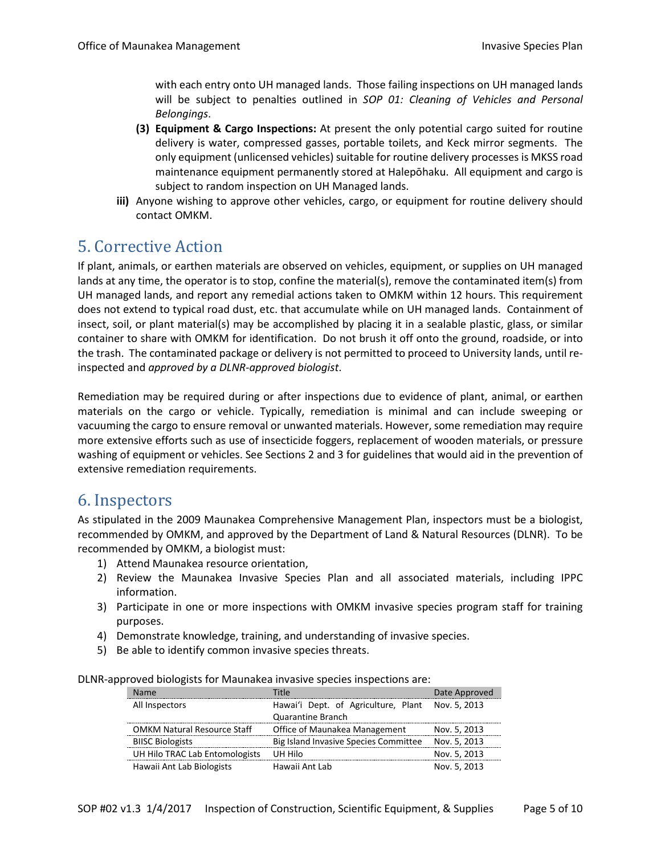with each entry onto UH managed lands. Those failing inspections on UH managed lands will be subject to penalties outlined in *SOP 01: Cleaning of Vehicles and Personal Belongings*.

- **(3) Equipment & Cargo Inspections:** At present the only potential cargo suited for routine delivery is water, compressed gasses, portable toilets, and Keck mirror segments. The only equipment (unlicensed vehicles) suitable for routine delivery processes is MKSS road maintenance equipment permanently stored at Halepōhaku. All equipment and cargo is subject to random inspection on UH Managed lands.
- **iii)** Anyone wishing to approve other vehicles, cargo, or equipment for routine delivery should contact OMKM.

## <span id="page-4-0"></span>5. Corrective Action

If plant, animals, or earthen materials are observed on vehicles, equipment, or supplies on UH managed lands at any time, the operator is to stop, confine the material(s), remove the contaminated item(s) from UH managed lands, and report any remedial actions taken to OMKM within 12 hours. This requirement does not extend to typical road dust, etc. that accumulate while on UH managed lands. Containment of insect, soil, or plant material(s) may be accomplished by placing it in a sealable plastic, glass, or similar container to share with OMKM for identification. Do not brush it off onto the ground, roadside, or into the trash. The contaminated package or delivery is not permitted to proceed to University lands, until reinspected and *approved by a DLNR-approved biologist*.

Remediation may be required during or after inspections due to evidence of plant, animal, or earthen materials on the cargo or vehicle. Typically, remediation is minimal and can include sweeping or vacuuming the cargo to ensure removal or unwanted materials. However, some remediation may require more extensive efforts such as use of insecticide foggers, replacement of wooden materials, or pressure washing of equipment or vehicles. See Sections 2 and 3 for guidelines that would aid in the prevention of extensive remediation requirements.

### <span id="page-4-1"></span>6. Inspectors

As stipulated in the 2009 Maunakea Comprehensive Management Plan, inspectors must be a biologist, recommended by OMKM, and approved by the Department of Land & Natural Resources (DLNR). To be recommended by OMKM, a biologist must:

- 1) Attend Maunakea resource orientation,
- 2) Review the Maunakea Invasive Species Plan and all associated materials, including IPPC information.
- 3) Participate in one or more inspections with OMKM invasive species program staff for training purposes.
- 4) Demonstrate knowledge, training, and understanding of invasive species.
- 5) Be able to identify common invasive species threats.

| DLNR-approved biologists for Maunakea invasive species inspections are: |  |
|-------------------------------------------------------------------------|--|
|-------------------------------------------------------------------------|--|

| <b>Name</b>                        | Title                                 | Date Approved |
|------------------------------------|---------------------------------------|---------------|
| All Inspectors                     | Hawai'i Dept. of Agriculture, Plant   | Nov. 5, 2013  |
|                                    | <b>Quarantine Branch</b>              |               |
| <b>OMKM Natural Resource Staff</b> | Office of Maunakea Management         | Nov. 5, 2013  |
| <b>BIISC Biologists</b>            | Big Island Invasive Species Committee | Nov. 5, 2013  |
| UH Hilo TRAC Lab Entomologists     | UH Hilo                               | Nov. 5, 2013  |
| Hawaii Ant Lab Biologists          | Hawaii Ant Lab                        | Nov. 5, 2013  |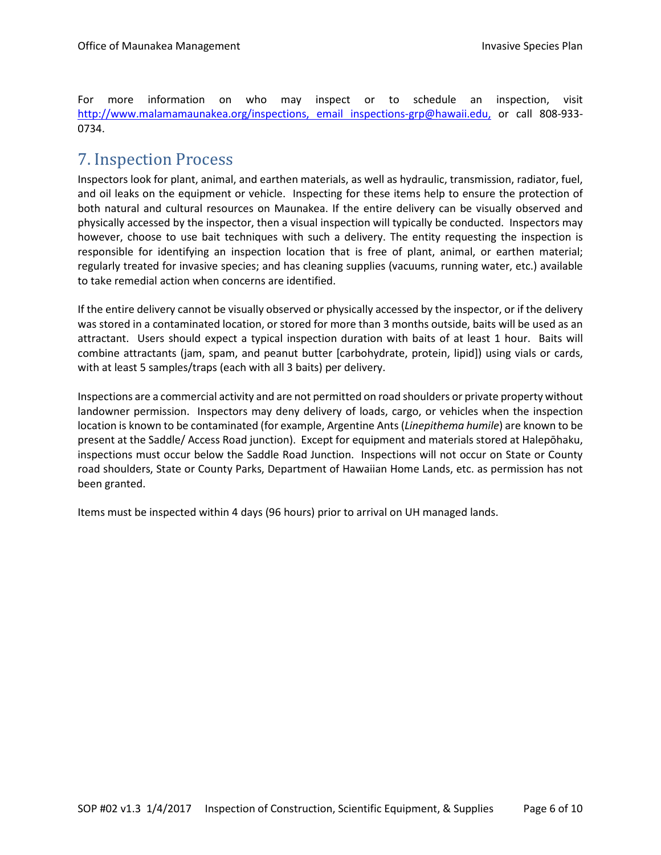For more information on who may inspect or to schedule an inspection, visit [http://www.malamamaunakea.org/inspections,](http://www.malamamaunakea.org/inspections) email inspections-grp@hawaii.edu, or call 808-933- 0734.

### <span id="page-5-0"></span>7. Inspection Process

Inspectors look for plant, animal, and earthen materials, as well as hydraulic, transmission, radiator, fuel, and oil leaks on the equipment or vehicle. Inspecting for these items help to ensure the protection of both natural and cultural resources on Maunakea. If the entire delivery can be visually observed and physically accessed by the inspector, then a visual inspection will typically be conducted. Inspectors may however, choose to use bait techniques with such a delivery. The entity requesting the inspection is responsible for identifying an inspection location that is free of plant, animal, or earthen material; regularly treated for invasive species; and has cleaning supplies (vacuums, running water, etc.) available to take remedial action when concerns are identified.

If the entire delivery cannot be visually observed or physically accessed by the inspector, or if the delivery was stored in a contaminated location, or stored for more than 3 months outside, baits will be used as an attractant. Users should expect a typical inspection duration with baits of at least 1 hour. Baits will combine attractants (jam, spam, and peanut butter [carbohydrate, protein, lipid]) using vials or cards, with at least 5 samples/traps (each with all 3 baits) per delivery.

Inspections are a commercial activity and are not permitted on road shoulders or private property without landowner permission. Inspectors may deny delivery of loads, cargo, or vehicles when the inspection location is known to be contaminated (for example, Argentine Ants(*Linepithema humile*) are known to be present at the Saddle/ Access Road junction). Except for equipment and materials stored at Halepōhaku, inspections must occur below the Saddle Road Junction. Inspections will not occur on State or County road shoulders, State or County Parks, Department of Hawaiian Home Lands, etc. as permission has not been granted.

Items must be inspected within 4 days (96 hours) prior to arrival on UH managed lands.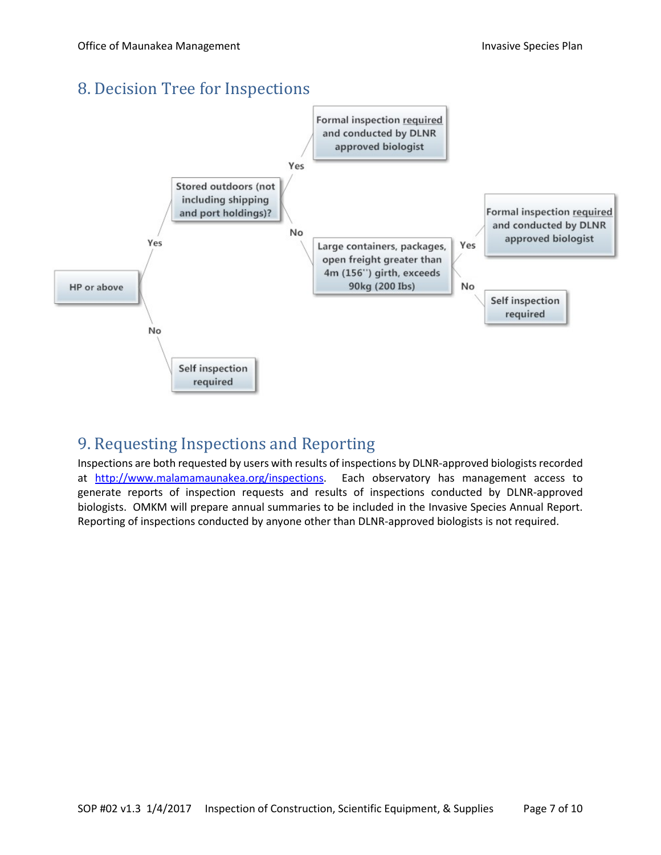### <span id="page-6-0"></span>8. Decision Tree for Inspections



# <span id="page-6-1"></span>9. Requesting Inspections and Reporting

Inspections are both requested by users with results of inspections by DLNR-approved biologists recorded at [http://www.malamamaunakea.org/inspections.](http://www.malamamaunakea.org/inspections) Each observatory has management access to generate reports of inspection requests and results of inspections conducted by DLNR-approved biologists. OMKM will prepare annual summaries to be included in the Invasive Species Annual Report. Reporting of inspections conducted by anyone other than DLNR-approved biologists is not required.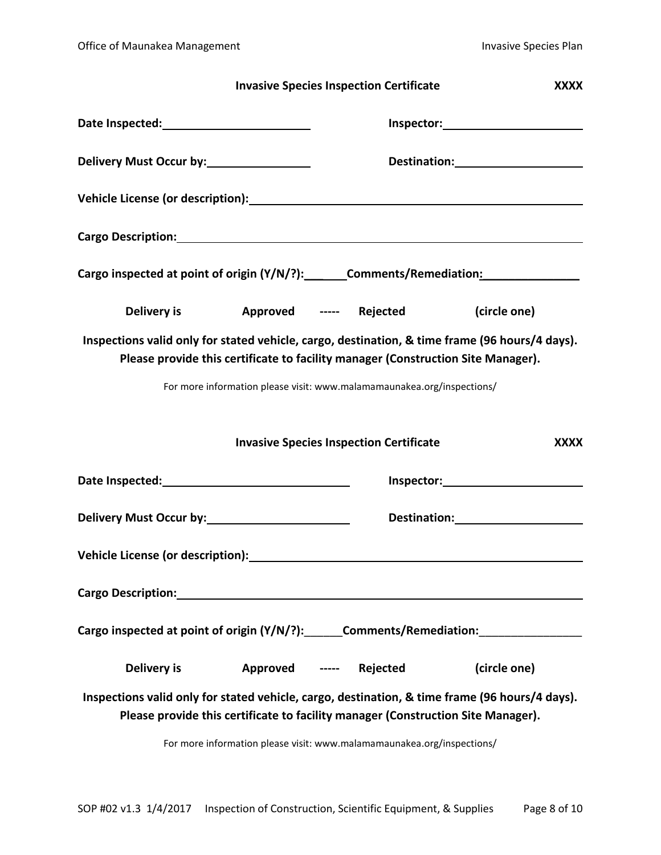|                                                                                                                                                                                                                                      | <b>Invasive Species Inspection Certificate</b>                                                                           | <b>XXXX</b>                                                                                          |
|--------------------------------------------------------------------------------------------------------------------------------------------------------------------------------------------------------------------------------------|--------------------------------------------------------------------------------------------------------------------------|------------------------------------------------------------------------------------------------------|
|                                                                                                                                                                                                                                      |                                                                                                                          |                                                                                                      |
| Delivery Must Occur by:                                                                                                                                                                                                              |                                                                                                                          |                                                                                                      |
|                                                                                                                                                                                                                                      |                                                                                                                          |                                                                                                      |
| Cargo Description: Note that the contract of the contract of the contract of the contract of the contract of the contract of the contract of the contract of the contract of the contract of the contract of the contract of t       |                                                                                                                          |                                                                                                      |
|                                                                                                                                                                                                                                      |                                                                                                                          | Cargo inspected at point of origin (Y/N/?): Comments/Remediation: Cargo inspected at point of origin |
| Delivery is <b>Delivery</b>                                                                                                                                                                                                          | Approved ----- Rejected                                                                                                  | (circle one)                                                                                         |
|                                                                                                                                                                                                                                      | For more information please visit: www.malamamaunakea.org/inspections/<br><b>Invasive Species Inspection Certificate</b> | <b>XXXX</b>                                                                                          |
|                                                                                                                                                                                                                                      |                                                                                                                          |                                                                                                      |
| Delivery Must Occur by: 1997                                                                                                                                                                                                         |                                                                                                                          | Destination: 2008 2010 2021 2022 2023                                                                |
| Vehicle License (or description):                                                                                                                                                                                                    |                                                                                                                          |                                                                                                      |
| Cargo Description: <u>contract and contract and contract and contract and contract and contract and contract and contract and contract and contract and contract and contract and contract and contract and contract and contrac</u> |                                                                                                                          |                                                                                                      |
|                                                                                                                                                                                                                                      |                                                                                                                          | Cargo inspected at point of origin (Y/N/?): _______Comments/Remediation: __________________________  |
| Delivery is                                                                                                                                                                                                                          | Approved ----- Rejected                                                                                                  | (circle one)                                                                                         |
|                                                                                                                                                                                                                                      | Please provide this certificate to facility manager (Construction Site Manager).                                         | Inspections valid only for stated vehicle, cargo, destination, & time frame (96 hours/4 days).       |
|                                                                                                                                                                                                                                      | For more information please visit: www.malamamaunakea.org/inspections/                                                   |                                                                                                      |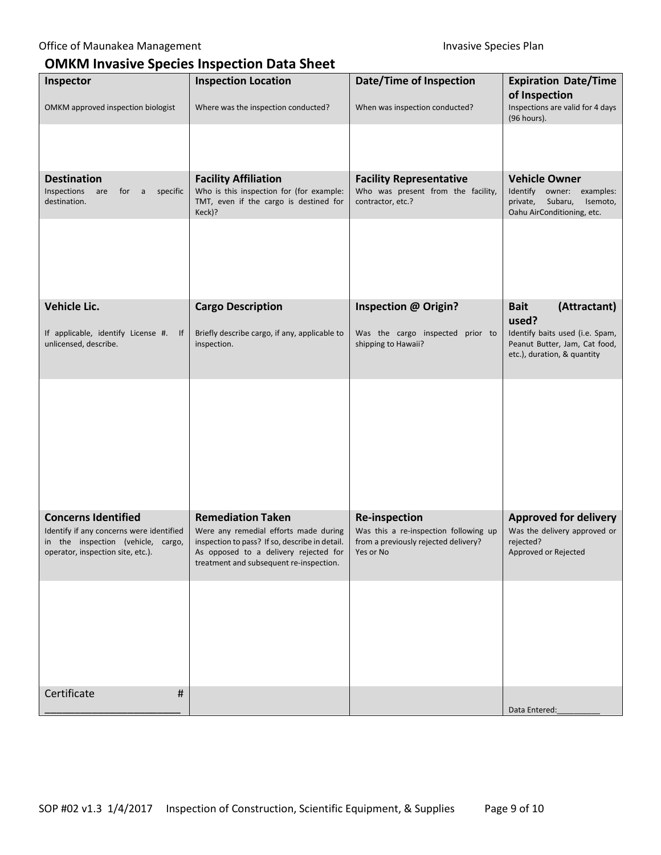### **OMKM Invasive Species Inspection Data Sheet**

| Inspector<br>OMKM approved inspection biologist                                                                                                   | <b>Inspection Location</b><br>Where was the inspection conducted?                                                                                                                                       | <b>Date/Time of Inspection</b><br>When was inspection conducted?                                                   | <b>Expiration Date/Time</b><br>of Inspection<br>Inspections are valid for 4 days<br>(96 hours).                       |
|---------------------------------------------------------------------------------------------------------------------------------------------------|---------------------------------------------------------------------------------------------------------------------------------------------------------------------------------------------------------|--------------------------------------------------------------------------------------------------------------------|-----------------------------------------------------------------------------------------------------------------------|
|                                                                                                                                                   |                                                                                                                                                                                                         |                                                                                                                    |                                                                                                                       |
| <b>Destination</b><br>Inspections<br>specific<br>are<br>for<br>a<br>destination.                                                                  | <b>Facility Affiliation</b><br>Who is this inspection for (for example:<br>TMT, even if the cargo is destined for<br>Keck)?                                                                             | <b>Facility Representative</b><br>Who was present from the facility,<br>contractor, etc.?                          | <b>Vehicle Owner</b><br>Identify<br>owner: examples:<br>private,<br>Subaru,<br>Isemoto,<br>Oahu AirConditioning, etc. |
|                                                                                                                                                   |                                                                                                                                                                                                         |                                                                                                                    |                                                                                                                       |
| Vehicle Lic.                                                                                                                                      | <b>Cargo Description</b>                                                                                                                                                                                | Inspection @ Origin?                                                                                               | <b>Bait</b><br>(Attractant)<br>used?                                                                                  |
| If applicable, identify License #. If<br>unlicensed, describe.                                                                                    | Briefly describe cargo, if any, applicable to<br>inspection.                                                                                                                                            | Was the cargo inspected prior to<br>shipping to Hawaii?                                                            | Identify baits used (i.e. Spam,<br>Peanut Butter, Jam, Cat food,<br>etc.), duration, & quantity                       |
|                                                                                                                                                   |                                                                                                                                                                                                         |                                                                                                                    |                                                                                                                       |
| <b>Concerns Identified</b><br>Identify if any concerns were identified<br>in the inspection (vehicle, cargo,<br>operator, inspection site, etc.). | <b>Remediation Taken</b><br>Were any remedial efforts made during<br>inspection to pass? If so, describe in detail.<br>As opposed to a delivery rejected for<br>treatment and subsequent re-inspection. | <b>Re-inspection</b><br>Was this a re-inspection following up<br>from a previously rejected delivery?<br>Yes or No | <b>Approved for delivery</b><br>Was the delivery approved or<br>rejected?<br>Approved or Rejected                     |
|                                                                                                                                                   |                                                                                                                                                                                                         |                                                                                                                    |                                                                                                                       |
| Certificate<br>$\#$                                                                                                                               |                                                                                                                                                                                                         |                                                                                                                    | Data Entered:                                                                                                         |